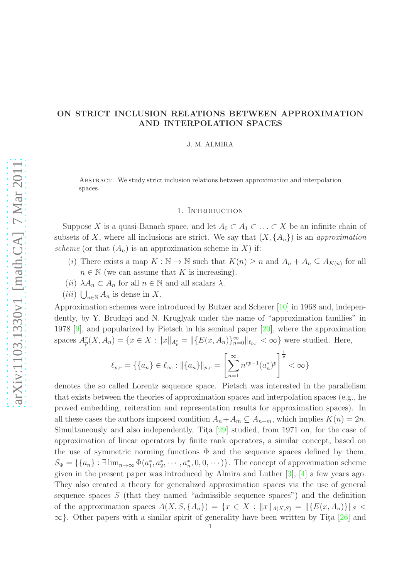# ON STRICT INCLUSION RELATIONS BETWEEN APPROXIMATION AND INTERPOLATION SPACES

J. M. ALMIRA

Abstract. We study strict inclusion relations between approximation and interpolation spaces.

## 1. INTRODUCTION

Suppose X is a quasi-Banach space, and let  $A_0 \subset A_1 \subset \ldots \subset X$  be an infinite chain of subsets of X, where all inclusions are strict. We say that  $(X, \{A_n\})$  is an *approximation scheme* (or that  $(A_n)$  is an approximation scheme in X) if:

- (i) There exists a map  $K : \mathbb{N} \to \mathbb{N}$  such that  $K(n) \geq n$  and  $A_n + A_n \subseteq A_{K(n)}$  for all  $n \in \mathbb{N}$  (we can assume that K is increasing).
- (*ii*)  $\lambda A_n \subset A_n$  for all  $n \in \mathbb{N}$  and all scalars  $\lambda$ .
- $(iii) \bigcup_{n \in \mathbb{N}} A_n$  is dense in X.

Approximation schemes were introduced by Butzer and Scherer [\[10\]](#page-11-0) in 1968 and, independently, by Y. Brudnyi and N. Kruglyak under the name of "approximation families" in 1978 [\[9\]](#page-11-1), and popularized by Pietsch in his seminal paper [\[20\]](#page-11-2), where the approximation spaces  $A_p^r(X, A_n) = \{x \in X : ||x||_{A_p^r} = ||\{E(x, A_n)\}_{n=0}^{\infty}||_{\ell_{p,r}} < \infty\}$  were studied. Here,

$$
\ell_{p,r} = \left\{ \{a_n\} \in \ell_\infty : ||\{a_n\}||_{p,r} = \left[\sum_{n=1}^\infty n^{rp-1}(a_n^*)^p\right]^{\frac{1}{p}} < \infty \right\}
$$

denotes the so called Lorentz sequence space. Pietsch was interested in the parallelism that exists between the theories of approximation spaces and interpolation spaces (e.g., he proved embedding, reiteration and representation results for approximation spaces). In all these cases the authors imposed condition  $A_n + A_m \subseteq A_{n+m}$ , which implies  $K(n) = 2n$ . Simultaneously and also independently, Tita  $[29]$  studied, from 1971 on, for the case of approximation of linear operators by finite rank operators, a similar concept, based on the use of symmetric norming functions  $\Phi$  and the sequence spaces defined by them,  $S_{\Phi} = \{\{a_n\} : \exists \lim_{n \to \infty} \Phi(a_1^*, a_2^*, \cdots, a_n^*, 0, 0, \cdots)\}.$  The concept of approximation scheme given in the present paper was introduced by Almira and Luther [\[3\]](#page-11-3), [\[4\]](#page-11-4) a few years ago. They also created a theory for generalized approximation spaces via the use of general sequence spaces  $S$  (that they named "admissible sequence spaces") and the definition of the approximation spaces  $A(X, S, \{A_n\}) = \{x \in X : ||x||_{A(X,S)} = ||\{E(x, A_n)\}||_S$  $\infty$ . Other papers with a similar spirit of generality have been written by Tita [\[26\]](#page-12-1) and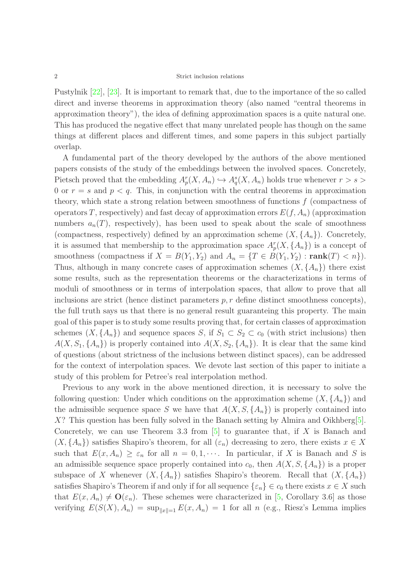Pustylnik [\[22\]](#page-11-5), [\[23\]](#page-11-6). It is important to remark that, due to the importance of the so called direct and inverse theorems in approximation theory (also named "central theorems in approximation theory"), the idea of defining approximation spaces is a quite natural one. This has produced the negative effect that many unrelated people has though on the same things at different places and different times, and some papers in this subject partially overlap.

A fundamental part of the theory developed by the authors of the above mentioned papers consists of the study of the embeddings between the involved spaces. Concretely, Pietsch proved that the embedding  $A_p^r(X, A_n) \hookrightarrow A_q^s(X, A_n)$  holds true whenever  $r > s >$ 0 or  $r = s$  and  $p < q$ . This, in conjunction with the central theorems in approximation theory, which state a strong relation between smoothness of functions  $f$  (compactness of operators T, respectively) and fast decay of approximation errors  $E(f, A_n)$  (approximation numbers  $a_n(T)$ , respectively), has been used to speak about the scale of smoothness (compactness, respectively) defined by an approximation scheme  $(X, \{A_n\})$ . Concretely, it is assumed that membership to the approximation space  $A_p^r(X, \{A_n\})$  is a concept of smoothness (compactness if  $X = B(Y_1, Y_2)$  and  $A_n = \{T \in B(Y_1, Y_2) : \text{rank}(T) < n\}.$ Thus, although in many concrete cases of approximation schemes  $(X, \{A_n\})$  there exist some results, such as the representation theorems or the characterizations in terms of moduli of smoothness or in terms of interpolation spaces, that allow to prove that all inclusions are strict (hence distinct parameters  $p, r$  define distinct smoothness concepts), the full truth says us that there is no general result guaranteing this property. The main goal of this paper is to study some results proving that, for certain classes of approximation schemes  $(X, \{A_n\})$  and sequence spaces S, if  $S_1 \subset S_2 \subset c_0$  (with strict inclusions) then  $A(X, S_1, \{A_n\})$  is properly contained into  $A(X, S_2, \{A_n\})$ . It is clear that the same kind of questions (about strictness of the inclusions between distinct spaces), can be addressed for the context of interpolation spaces. We devote last section of this paper to initiate a study of this problem for Petree's real interpolation method.

Previous to any work in the above mentioned direction, it is necessary to solve the following question: Under which conditions on the approximation scheme  $(X, \{A_n\})$  and the admissible sequence space S we have that  $A(X, S, \{A_n\})$  is properly contained into  $X$ ? This question has been fully solved in the Banach setting by Almira and Oikhberg[\[5\]](#page-11-7). Concretely, we can use Theorem 3.3 from  $[5]$  to guarantee that, if X is Banach and  $(X, \{A_n\})$  satisfies Shapiro's theorem, for all  $(\varepsilon_n)$  decreasing to zero, there exists  $x \in X$ such that  $E(x, A_n) \geq \varepsilon_n$  for all  $n = 0, 1, \cdots$ . In particular, if X is Banach and S is an admissible sequence space properly contained into  $c_0$ , then  $A(X, S, \{A_n\})$  is a proper subspace of X whenever  $(X, \{A_n\})$  satisfies Shapiro's theorem. Recall that  $(X, \{A_n\})$ satisfies Shapiro's Theorem if and only if for all sequence  $\{\varepsilon_n\} \in c_0$  there exists  $x \in X$  such that  $E(x, A_n) \neq \mathbf{O}(\varepsilon_n)$ . These schemes were characterized in [\[5,](#page-11-7) Corollary 3.6] as those verifying  $E(S(X), A_n) = \sup_{\|x\|=1} E(x, A_n) = 1$  for all n (e.g., Riesz's Lemma implies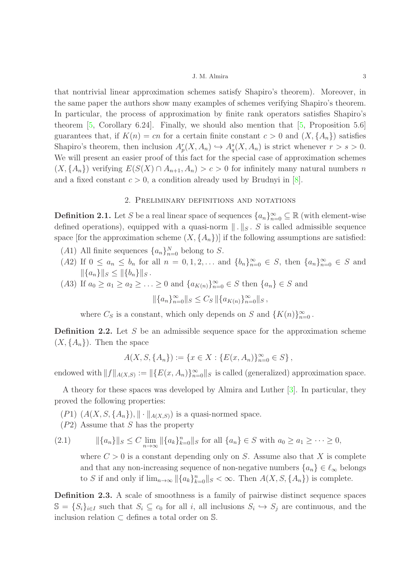that nontrivial linear approximation schemes satisfy Shapiro's theorem). Moreover, in the same paper the authors show many examples of schemes verifying Shapiro's theorem. In particular, the process of approximation by finite rank operators satisfies Shapiro's theorem [\[5,](#page-11-7) Corollary 6.24]. Finally, we should also mention that  $[5,$  Proposition 5.6] guarantees that, if  $K(n) = cn$  for a certain finite constant  $c > 0$  and  $(X, \{A_n\})$  satisfies Shapiro's theorem, then inclusion  $A_p^r(X, A_n) \hookrightarrow A_q^s(X, A_n)$  is strict whenever  $r > s > 0$ . We will present an easier proof of this fact for the special case of approximation schemes  $(X, \{A_n\})$  verifying  $E(S(X) \cap A_{n+1}, A_n) > c > 0$  for infinitely many natural numbers n and a fixed constant  $c > 0$ , a condition already used by Brudnyi in [\[8\]](#page-11-8).

## 2. Preliminary definitions and notations

**Definition 2.1.** Let S be a real linear space of sequences  $\{a_n\}_{n=0}^{\infty} \subseteq \mathbb{R}$  (with element-wise defined operations), equipped with a quasi-norm  $\| \cdot \|_{S}$ . S is called admissible sequence space [for the approximation scheme  $(X, \{A_n\})$ ] if the following assumptions are satisfied:

- (A1) All finite sequences  $\{a_n\}_{n=0}^N$  belong to S.
- (A2) If  $0 \le a_n \le b_n$  for all  $n = 0, 1, 2, ...$  and  $\{b_n\}_{n=0}^{\infty} \in S$ , then  $\{a_n\}_{n=0}^{\infty} \in S$  and  $\|\{a_n\}\|_S \leq \|\{b_n\}\|_S$ .
- (A3) If  $a_0 \ge a_1 \ge a_2 \ge ... \ge 0$  and  $\{a_{K(n)}\}_{n=0}^{\infty} \in S$  then  $\{a_n\} \in S$  and

$$
\|\{a_n\}_{n=0}^{\infty}\|_{S} \leq C_S \|\{a_{K(n)}\}_{n=0}^{\infty}\|_{S},
$$

where  $C_S$  is a constant, which only depends on S and  $\{K(n)\}_{n=0}^{\infty}$ .

**Definition 2.2.** Let  $S$  be an admissible sequence space for the approximation scheme  $(X, \{A_n\})$ . Then the space

 $A(X, S, \{A_n\}) := \{x \in X : \{E(x, A_n)\}_{n=0}^{\infty} \in S\},\$ 

endowed with  $||f||_{A(X,S)} := ||{E(x, A_n)}_{n=0}^{\infty}||_S$  is called (generalized) approximation space.

A theory for these spaces was developed by Almira and Luther [\[3\]](#page-11-3). In particular, they proved the following properties:

 $(P1)$   $(A(X, S, \{A_n\}), \|\cdot\|_{A(X,S)})$  is a quasi-normed space.

(P2) Assume that S has the property

(2.1)  $\|\{a_n\}\|_S \le C \lim_{n \to \infty} \|\{a_k\}_{k=0}^n\|_S$  for all  $\{a_n\} \in S$  with  $a_0 \ge a_1 \ge \cdots \ge 0$ ,

<span id="page-2-0"></span>where  $C > 0$  is a constant depending only on S. Assume also that X is complete and that any non-increasing sequence of non-negative numbers  $\{a_n\} \in \ell_\infty$  belongs to S if and only if  $\lim_{n\to\infty} \|\{a_k\}_{k=0}^n\|_{S} < \infty$ . Then  $A(X, S, \{A_n\})$  is complete.

Definition 2.3. A scale of smoothness is a family of pairwise distinct sequence spaces  $\mathbb{S} = \{S_i\}_{i \in I}$  such that  $S_i \subseteq c_0$  for all i, all inclusions  $S_i \hookrightarrow S_j$  are continuous, and the inclusion relation ⊂ defines a total order on S.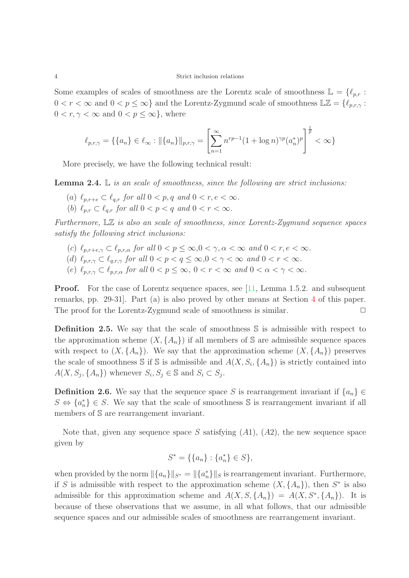Some examples of scales of smoothness are the Lorentz scale of smoothness  $\mathbb{L} = \{\ell_{p,r} :$  $0 < r < \infty$  and  $0 < p \leq \infty$ } and the Lorentz-Zygmund scale of smoothness  $\mathbb{L}\mathbb{Z} = \{\ell_{p,r,\gamma} :$  $0 < r, \gamma < \infty$  and  $0 < p \leq \infty$ , where

$$
\ell_{p,r,\gamma} = \left\{ \{a_n\} \in \ell_\infty : ||\{a_n\}||_{p,r,\gamma} = \left[ \sum_{n=1}^{\infty} n^{rp-1} (1 + \log n)^{\gamma p} (a_n^*)^p \right]^{\frac{1}{p}} < \infty \right\}
$$

More precisely, we have the following technical result:

<span id="page-3-0"></span>Lemma 2.4. L *is an scale of smoothness, since the following are strict inclusions:*

- (a)  $\ell_{n,r+e} \subset \ell_{a,r}$  for all  $0 < p, q$  and  $0 < r, e < \infty$ .
- (b)  $\ell_{p,r} \subset \ell_{q,r}$  for all  $0 < p < q$  and  $0 < r < \infty$ .

*Furthermore,* LZ *is also an scale of smoothness, since Lorentz-Zygmund sequence spaces satisfy the following strict inclusions:*

- (c)  $\ell_{p,r+e,\gamma} \subset \ell_{p,r,\alpha}$  *for all*  $0 < p \leq \infty, 0 < \gamma, \alpha < \infty$  *and*  $0 < r, e < \infty$ *.*
- (d)  $\ell_{p,r,\gamma} \subset \ell_{q,r,\gamma}$  *for all*  $0 < p < q \le \infty, 0 < \gamma < \infty$  *and*  $0 < r < \infty$ *.*
- (e)  $\ell_{p,r,\gamma} \subset \ell_{p,r,\alpha}$  *for all*  $0 < p \leq \infty$ ,  $0 < r < \infty$  *and*  $0 < \alpha < \gamma < \infty$ *.*

**Proof.** For the case of Lorentz sequence spaces, see [\[11,](#page-11-9) Lemma 1.5.2. and subsequent remarks, pp. 29-31]. Part (a) is also proved by other means at Section [4](#page-4-0) of this paper. The proof for the Lorentz-Zygmund scale of smoothness is similar.  $\Box$ 

Definition 2.5. We say that the scale of smoothness S is admissible with respect to the approximation scheme  $(X, \{A_n\})$  if all members of S are admissible sequence spaces with respect to  $(X, \{A_n\})$ . We say that the approximation scheme  $(X, \{A_n\})$  preserves the scale of smoothness S if S is admissible and  $A(X, S_i, \{A_n\})$  is strictly contained into  $A(X, S_j, \{A_n\})$  whenever  $S_i, S_j \in \mathbb{S}$  and  $S_i \subset S_j$ .

**Definition 2.6.** We say that the sequence space S is rearrangement invariant if  $\{a_n\}$  $S \Leftrightarrow \{a_n^*\} \in S$ . We say that the scale of smoothness S is rearrangement invariant if all members of S are rearrangement invariant.

Note that, given any sequence space S satisfying  $(A1)$ ,  $(A2)$ , the new sequence space given by

$$
S^* = \{\{a_n\} : \{a_n^*\} \in S\},\
$$

when provided by the norm  $\|\{a_n\}\|_{S^*} = \|\{a_n^*\}\|_{S}$  is rearrangement invariant. Furthermore, if S is admissible with respect to the approximation scheme  $(X, \{A_n\})$ , then  $S^*$  is also admissible for this approximation scheme and  $A(X, S, \{A_n\}) = A(X, S^*, \{A_n\})$ . It is because of these observations that we assume, in all what follows, that our admissible sequence spaces and our admissible scales of smoothness are rearrangement invariant.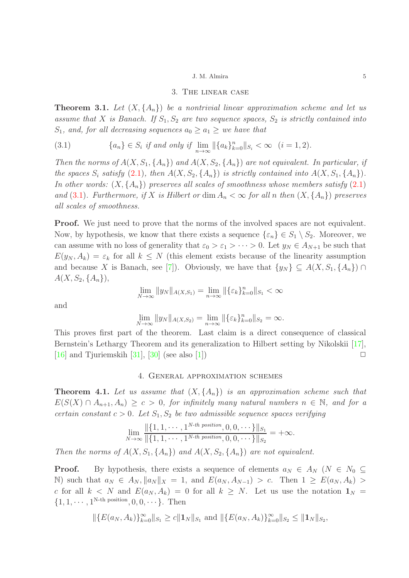## 3. The linear case

Theorem 3.1. *Let* (X, {An}) *be a nontrivial linear approximation scheme and let us assume that* X *is Banach.* If  $S_1, S_2$  *are two sequence spaces,*  $S_2$  *is strictly contained into*  $S_1$ *, and, for all decreasing sequences*  $a_0 \geq a_1 \geq w$ *e have that* 

<span id="page-4-1"></span>(3.1) 
$$
\{a_n\} \in S_i \text{ if and only if } \lim_{n \to \infty} ||\{a_k\}_{k=0}^n||_{S_i} < \infty \quad (i = 1, 2).
$$

*Then the norms of*  $A(X, S_1, \{A_n\})$  *and*  $A(X, S_2, \{A_n\})$  *are not equivalent. In particular, if the spaces*  $S_i$  *satisfy* [\(2.1\)](#page-2-0), then  $A(X, S_2, \{A_n\})$  *is strictly contained into*  $A(X, S_1, \{A_n\})$ *. In other words:*  $(X, \{A_n\})$  *preserves all scales of smoothness whose members satisfy*  $(2.1)$ *and* [\(3.1\)](#page-4-1)*.* Furthermore, if X is Hilbert or dim  $A_n < \infty$  for all n then  $(X, \{A_n\})$  preserves *all scales of smoothness.*

**Proof.** We just need to prove that the norms of the involved spaces are not equivalent. Now, by hypothesis, we know that there exists a sequence  $\{\varepsilon_n\} \in S_1 \setminus S_2$ . Moreover, we can assume with no loss of generality that  $\varepsilon_0 > \varepsilon_1 > \cdots > 0$ . Let  $y_N \in A_{N+1}$  be such that  $E(y_N, A_k) = \varepsilon_k$  for all  $k \leq N$  (this element exists because of the linearity assumption and because X is Banach, see [\[7\]](#page-11-10)). Obviously, we have that  $\{y_N\} \subseteq A(X, S_1, \{A_n\}) \cap$  $A(X, S_2, \{A_n\}),$ 

$$
\lim_{N \to \infty} \|y_N\|_{A(X,S_1)} = \lim_{n \to \infty} \| \{\varepsilon_k\}_{k=0}^n \|_{S_1} < \infty
$$

and

$$
\lim_{N \to \infty} \|y_N\|_{A(X,S_2)} = \lim_{n \to \infty} \|\{\varepsilon_k\}_{k=0}^n\|_{S_2} = \infty.
$$

This proves first part of the theorem. Last claim is a direct consequence of classical Bernstein's Lethargy Theorem and its generalization to Hilbert setting by Nikolskii [\[17\]](#page-11-11), [\[16\]](#page-11-12) and Tjuriemskih [\[31\]](#page-12-2), [\[30\]](#page-12-3) (see also [\[1\]](#page-11-13))  $\Box$ 

## 4. General approximation schemes

<span id="page-4-2"></span><span id="page-4-0"></span>**Theorem 4.1.** Let us assume that  $(X, \{A_n\})$  is an approximation scheme such that  $E(S(X) \cap A_{n+1}, A_n) \geq c > 0$ , for infinitely many natural numbers  $n \in \mathbb{N}$ , and for a *certain constant*  $c > 0$ *. Let*  $S_1, S_2$  *be two admissible sequence spaces verifying* 

$$
\lim_{N \to \infty} \frac{\|\{1, 1, \cdots, 1^{N \text{-}th position}, 0, 0, \cdots\}\|_{S_1}}{\|\{1, 1, \cdots, 1^{N \text{-}th position}, 0, 0, \cdots\}\|_{S_2}} = +\infty.
$$

*Then the norms of*  $A(X, S_1, \{A_n\})$  *and*  $A(X, S_2, \{A_n\})$  *are not equivalent.* 

**Proof.** By hypothesis, there exists a sequence of elements  $a_N \in A_N$  ( $N \in N_0 \subseteq$ N) such that  $a_N \in A_N$ ,  $||a_N||_X = 1$ , and  $E(a_N, A_{N-1}) > c$ . Then  $1 \geq E(a_N, A_k) >$ c for all  $k < N$  and  $E(a_N, A_k) = 0$  for all  $k \geq N$ . Let us use the notation  $\mathbf{1}_N =$  $\{1, 1, \dots, 1^{\text{N-th position}}, 0, 0, \dots\}.$  Then

$$
\|\{E(a_N, A_k)\}_{k=0}^{\infty}\|_{S_1} \ge c\|\mathbf{1}_N\|_{S_1} \text{ and } \|\{E(a_N, A_k)\}_{k=0}^{\infty}\|_{S_2} \le \|\mathbf{1}_N\|_{S_2},
$$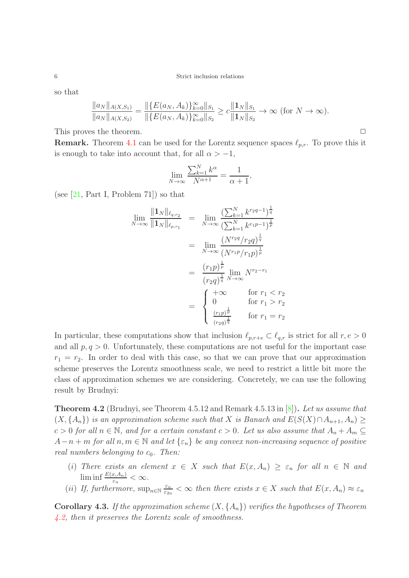so that

$$
\frac{\|a_N\|_{A(X,S_1)}}{\|a_N\|_{A(X,S_2)}} = \frac{\|\{E(a_N, A_k)\}_{k=0}^{\infty}\|_{S_1}}{\|\{E(a_N, A_k)\}_{k=0}^{\infty}\|_{S_2}} \ge c \frac{\|a_N\|_{S_1}}{\|a_N\|_{S_2}} \to \infty \text{ (for } N \to \infty\text{)}.
$$

This proves the theorem.  $\Box$ 

**Remark.** Theorem [4.1](#page-4-2) can be used for the Lorentz sequence spaces  $\ell_{p,r}$ . To prove this it is enough to take into account that, for all  $\alpha > -1$ ,

$$
\lim_{N \to \infty} \frac{\sum_{k=1}^{N} k^{\alpha}}{N^{\alpha+1}} = \frac{1}{\alpha+1},
$$

(see  $[21, Part I, Problem 71]$ ) so that

$$
\lim_{N \to \infty} \frac{\|1_N\|_{\ell_{q,r_2}}}{\|1_N\|_{\ell_{p,r_1}}} = \lim_{N \to \infty} \frac{(\sum_{k=1}^N k^{r_2 q - 1})^{\frac{1}{q}}}{(\sum_{k=1}^N k^{r_1 p - 1})^{\frac{1}{p}}}
$$
\n
$$
= \lim_{N \to \infty} \frac{(N^{r_2 q}/r_2 q)^{\frac{1}{q}}}{(N^{r_1 p}/r_1 p)^{\frac{1}{p}}}
$$
\n
$$
= \frac{(r_1 p)^{\frac{1}{p}}}{(r_2 q)^{\frac{1}{q}}} \lim_{N \to \infty} N^{r_2 - r_1}
$$
\n
$$
= \begin{cases}\n+\infty & \text{for } r_1 < r_2 \\
0 & \text{for } r_1 > r_2 \\
\frac{(r_1 p)^{\frac{1}{p}}}{(r_2 q)^{\frac{1}{q}}} & \text{for } r_1 = r_2\n\end{cases}
$$

In particular, these computations show that inclusion  $\ell_{p,r+e} \subset \ell_{q,r}$  is strict for all  $r, e > 0$ and all  $p, q > 0$ . Unfortunately, these computations are not useful for the important case  $r_1 = r_2$ . In order to deal with this case, so that we can prove that our approximation scheme preserves the Lorentz smoothness scale, we need to restrict a little bit more the class of approximation schemes we are considering. Concretely, we can use the following result by Brudnyi:

<span id="page-5-0"></span>Theorem 4.2 (Brudnyi, see Theorem 4.5.12 and Remark 4.5.13 in [\[8\]](#page-11-8)). *Let us assume that*  $(X, \{A_n\})$  *is an approximation scheme such that* X *is Banach and*  $E(S(X) \cap A_{n+1}, A_n) \geq$  $c > 0$  for all  $n \in \mathbb{N}$ , and for a certain constant  $c > 0$ . Let us also assume that  $A_n + A_m \subseteq$  $A-n+m$  *for all*  $n,m \in \mathbb{N}$  *and let*  $\{\varepsilon_n\}$  *be any convex non-increasing sequence of positive real numbers belonging to*  $c_0$ *. Then:* 

- (i) There exists an element  $x \in X$  such that  $E(x, A_n) \geq \varepsilon_n$  for all  $n \in \mathbb{N}$  and  $\liminf \frac{E(x,A_n)}{\varepsilon_n} < \infty$ .
- (*ii*) *If, furthermore,*  $\sup_{n \in \mathbb{N}} \frac{\varepsilon_n}{\varepsilon_{2n}}$  $\frac{\varepsilon_n}{\varepsilon_{2n}} < \infty$  then there exists  $x \in X$  such that  $E(x, A_n) \approx \varepsilon_n$

<span id="page-5-1"></span>Corollary 4.3. *If the approximation scheme* (X, {An}) *verifies the hypotheses of Theorem [4.2,](#page-5-0) then it preserves the Lorentz scale of smoothness.*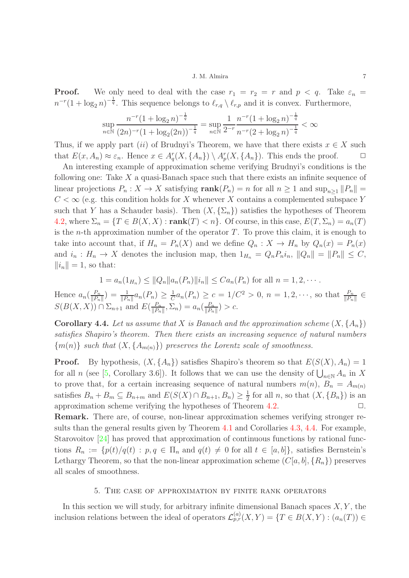**Proof.** We only need to deal with the case  $r_1 = r_2 = r$  and  $p < q$ . Take  $\varepsilon_n =$  $n^{-r}(1 + \log_2 n)^{-\frac{1}{q}}$ . This sequence belongs to  $\ell_{r,q} \setminus \ell_{r,p}$  and it is convex. Furthermore,

$$
\sup_{n \in \mathbb{N}} \frac{n^{-r} (1 + \log_2 n)^{-\frac{1}{q}}}{(2n)^{-r} (1 + \log_2(2n))^{-\frac{1}{q}}} = \sup_{n \in \mathbb{N}} \frac{1}{2^{-r}} \frac{n^{-r} (1 + \log_2 n)^{-\frac{1}{q}}}{n^{-r} (2 + \log_2 n)^{-\frac{1}{q}}} < \infty
$$

Thus, if we apply part (ii) of Brudnyi's Theorem, we have that there exists  $x \in X$  such that  $E(x, A_n) \approx \varepsilon_n$ . Hence  $x \in A_q^r(X, \{A_n\}) \setminus A_p^r(X, \{A_n\})$ . This ends the proof.  $\Box$ 

An interesting example of approximation scheme verifying Brudnyi's conditions is the following one: Take  $X$  a quasi-Banach space such that there exists an infinite sequence of linear projections  $P_n: X \to X$  satisfying  $\text{rank}(P_n) = n$  for all  $n \geq 1$  and  $\sup_{n \geq 1} ||P_n|| =$  $C < \infty$  (e.g. this condition holds for X whenever X contains a complemented subspace Y such that Y has a Schauder basis). Then  $(X, \{\Sigma_n\})$  satisfies the hypotheses of Theorem [4.2,](#page-5-0) where  $\Sigma_n = \{T \in B(X, X) : \text{rank}(T) < n\}$ . Of course, in this case,  $E(T, \Sigma_n) = a_n(T)$ is the *n*-th approximation number of the operator  $T$ . To prove this claim, it is enough to take into account that, if  $H_n = P_n(X)$  and we define  $Q_n : X \to H_n$  by  $Q_n(x) = P_n(x)$ and  $i_n : H_n \to X$  denotes the inclusion map, then  $1_{H_n} = Q_n P_n i_n, ||Q_n|| = ||P_n|| \leq C$ ,  $\|i_n\| = 1$ , so that:

$$
1 = a_n(1_{H_n}) \le ||Q_n|| a_n(P_n)||i_n|| \le C a_n(P_n)
$$
 for all  $n = 1, 2, \cdots$ .

Hence  $a_n(\frac{P_n}{\|P_n\|})$  $\frac{P_n}{\|P_n\|}$ ) =  $\frac{1}{\|P_n\|} a_n(P_n) \geq \frac{1}{C}$  $\frac{1}{C}a_n(P_n) \ge c = 1/C^2 > 0, n = 1, 2, \cdots$ , so that  $\frac{P_n}{\|P_n\|} \in$  $S(B(X, X)) \cap \Sigma_{n+1}$  and  $E(\frac{P_n}{\|P_n\|})$  $\frac{P_n}{\|P_n\|}, \Sigma_n) = a_n(\frac{P_n}{\|P_n\|})$  $\frac{P_n}{\|P_n\|}$ ) > c.

<span id="page-6-0"></span>**Corollary 4.4.** Let us assume that X is Banach and the approximation scheme  $(X, \{A_n\})$ *satisfies Shapiro's theorem. Then there exists an increasing sequence of natural numbers*  ${m(n)}$  *such that*  $(X, {A_{m(n)}})$  *preserves the Lorentz scale of smoothness.* 

**Proof.** By hypothesis,  $(X, \{A_n\})$  satisfies Shapiro's theorem so that  $E(S(X), A_n) = 1$ for all n (see [\[5,](#page-11-7) Corollary 3.6]). It follows that we can use the density of  $\bigcup_{n\in\mathbb{N}} A_n$  in X to prove that, for a certain increasing sequence of natural numbers  $m(n)$ ,  $B_n = A_{m(n)}$ satisfies  $B_n + B_m \subseteq B_{n+m}$  and  $E(S(X) \cap B_{n+1}, B_n) \geq \frac{1}{2}$  $\frac{1}{2}$  for all *n*, so that  $(X, {B_n})$  is an approximation scheme verifying the hypotheses of Theorem  $4.2$ .  $\Box$ 

Remark. There are, of course, non-linear approximation schemes verifying stronger results than the general results given by Theorem [4.1](#page-4-2) and Corollaries [4.3,](#page-5-1) [4.4.](#page-6-0) For example, Starovoitov [\[24\]](#page-12-4) has proved that approximation of continuous functions by rational functions  $R_n := \{p(t)/q(t) : p, q \in \Pi_n \text{ and } q(t) \neq 0 \text{ for all } t \in [a, b]\},\$  satisfies Bernstein's Lethargy Theorem, so that the non-linear approximation scheme  $(C[a, b], \{R_n\})$  preserves all scales of smoothness.

## 5. The case of approximation by finite rank operators

In this section we will study, for arbitrary infinite dimensional Banach spaces  $X, Y$ , the inclusion relations between the ideal of operators  $\mathcal{L}_{p,r}^{(a)}(X,Y) = \{T \in B(X,Y) : (a_n(T)) \in$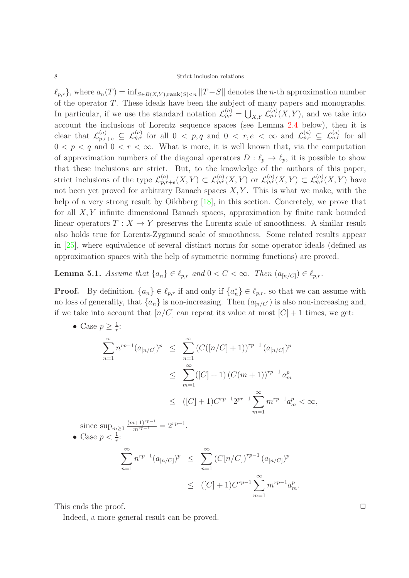$\ell_{p,r}$ , where  $a_n(T) = \inf_{S \in B(X,Y), \text{rank}(S) < n} ||T - S||$  denotes the *n*-th approximation number of the operator T. These ideals have been the subject of many papers and monographs. In particular, if we use the standard notation  $\mathcal{L}_{p,r}^{(a)} = \bigcup_{X,Y} \mathcal{L}_{p,r}^{(a)}(X,Y)$ , and we take into account the inclusions of Lorentz sequence spaces (see Lemma [2.4](#page-3-0) below), then it is clear that  $\mathcal{L}_{p,r+e}^{(a)} \subseteq \mathcal{L}_{q,r}^{(a)}$  for all  $0 < p,q$  and  $0 < r,e < \infty$  and  $\mathcal{L}_{p,r}^{(a)} \subseteq \mathcal{L}_{q,r}^{(a)}$  for all  $0 < p < q$  and  $0 < r < \infty$ . What is more, it is well known that, via the computation of approximation numbers of the diagonal operators  $D: \ell_p \to \ell_p$ , it is possible to show that these inclusions are strict. But, to the knowledge of the authors of this paper, strict inclusions of the type  $\mathcal{L}_{p,r}^{(a)}$  $\mathcal{L}_{p,r+e}^{(a)}(X,Y) \subset \mathcal{L}_{p,r}^{(a)}(X,Y)$  or  $\mathcal{L}_{p,r}^{(a)}(X,Y) \subset \mathcal{L}_{q,r}^{(a)}(X,Y)$  have not been yet proved for arbitrary Banach spaces  $X, Y$ . This is what we make, with the help of a very strong result by Oikhberg [\[18\]](#page-11-15), in this section. Concretely, we prove that for all  $X, Y$  infinite dimensional Banach spaces, approximation by finite rank bounded linear operators  $T : X \to Y$  preserves the Lorentz scale of smoothness. A similar result also holds true for Lorentz-Zygmund scale of smoothness. Some related results appear in [\[25\]](#page-12-5), where equivalence of several distinct norms for some operator ideals (defined as approximation spaces with the help of symmetric norming functions) are proved.

**Lemma 5.1.** *Assume that*  $\{a_n\} \in \ell_{p,r}$  *and*  $0 < C < \infty$ *. Then*  $(a_{n/C}) \in \ell_{p,r}$ *.* 

**Proof.** By definition,  $\{a_n\} \in \ell_{p,r}$  if and only if  $\{a_n^*\} \in \ell_{p,r}$ , so that we can assume with no loss of generality, that  $\{a_n\}$  is non-increasing. Then  $(a_{[n/C]})$  is also non-increasing and, if we take into account that  $n/C$  can repeat its value at most  $|C|+1$  times, we get:

• Case  $p \geq \frac{1}{r}$  $\frac{1}{r}$ :

$$
\sum_{n=1}^{\infty} n^{rp-1} (a_{[n/C]})^p \leq \sum_{n=1}^{\infty} (C([n/C]+1))^{rp-1} (a_{[n/C]})^p
$$
  

$$
\leq \sum_{m=1}^{\infty} ([C]+1) (C(m+1))^{rp-1} a_m^p
$$
  

$$
\leq ([C]+1) C^{rp-1} 2^{pr-1} \sum_{m=1}^{\infty} m^{rp-1} a_m^p < \infty,
$$

since  $\sup_{m\geq 1} \frac{(m+1)^{rp-1}}{m^{rp-1}} = 2^{rp-1}$ . • Case  $p < \frac{1}{r}$ :

$$
\sum_{n=1}^{\infty} n^{rp-1} (a_{[n/C]})^p \leq \sum_{n=1}^{\infty} (C[n/C])^{rp-1} (a_{[n/C]})^p
$$
  

$$
\leq ([C] + 1) C^{rp-1} \sum_{m=1}^{\infty} m^{rp-1} a_m^p.
$$

This ends the proof.  $\Box$ 

Indeed, a more general result can be proved.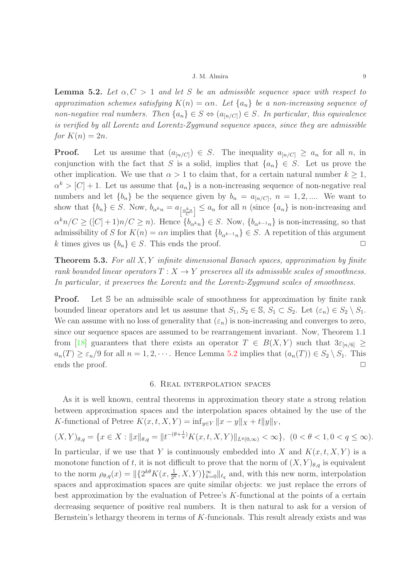<span id="page-8-0"></span>**Lemma 5.2.** Let  $\alpha, C > 1$  and let S be an admissible sequence space with respect to *approximation schemes satisfying*  $K(n) = \alpha n$ . Let  $\{a_n\}$  be a non-increasing sequence of *non-negative real numbers. Then*  $\{a_n\} \in S \Leftrightarrow (a_{[n/C]}) \in S$ *. In particular, this equivalence is verified by all Lorentz and Lorentz-Zygmund sequence spaces, since they are admissible for*  $K(n) = 2n$ .

**Proof.** Let us assume that  $(a_{[n/C]}) \in S$ . The inequality  $a_{[n/C]} \ge a_n$  for all n, in conjunction with the fact that S is a solid, implies that  $\{a_n\} \in S$ . Let us prove the other implication. We use that  $\alpha > 1$  to claim that, for a certain natural number  $k \geq 1$ ,  $\alpha^k > [C] + 1$ . Let us assume that  $\{a_n\}$  is a non-increasing sequence of non-negative real numbers and let  ${b_n}$  be the sequence given by  $b_n = a_{n|c|}$ ,  $n = 1, 2, ...$  We want to show that  $\{b_n\} \in S$ . Now,  $b_{\alpha^k n} = a_{\left[\frac{\alpha^k n}{C}\right]} \le a_n$  for all n (since  $\{a_n\}$  is non-increasing and  $\alpha^k n/C \geq (C+1)n/C \geq n$ . Hence  $\{b_{\alpha^k n}\}\in S$ . Now,  $\{b_{\alpha^{k-1} n}\}\$ is non-increasing, so that admissibility of S for  $K(n) = \alpha n$  implies that  ${b_{\alpha^{k-1}n}} \in S$ . A repetition of this argument k times gives us  $\{b_n\} \in S$ . This ends the proof.  $\Box$ 

Theorem 5.3. *For all* X, Y *infinite dimensional Banach spaces, approximation by finite rank bounded linear operators*  $T : X \to Y$  *preserves all its admissible scales of smoothness. In particular, it preserves the Lorentz and the Lorentz-Zygmund scales of smoothness.*

**Proof.** Let S be an admissible scale of smoothness for approximation by finite rank bounded linear operators and let us assume that  $S_1, S_2 \in \mathbb{S}, S_1 \subset S_2$ . Let  $(\varepsilon_n) \in S_2 \setminus S_1$ . We can assume with no loss of generality that  $(\varepsilon_n)$  is non-increasing and converges to zero, since our sequence spaces are assumed to be rearrangement invariant. Now, Theorem 1.1 from [\[18\]](#page-11-15) guarantees that there exists an operator  $T \in B(X,Y)$  such that  $3\varepsilon_{n/6} \ge$  $a_n(T) \geq \varepsilon_n/9$  for all  $n = 1, 2, \cdots$ . Hence Lemma [5.2](#page-8-0) implies that  $(a_n(T)) \in S_2 \setminus S_1$ . This ends the proof.  $\Box$ 

## 6. Real interpolation spaces

As it is well known, central theorems in approximation theory state a strong relation between approximation spaces and the interpolation spaces obtained by the use of the K-functional of Petree  $K(x, t, X, Y) = \inf_{y \in Y} ||x - y||_X + t||y||_Y$ ,

$$
(X,Y)_{\theta,q} = \{ x \in X : ||x||_{\theta,q} = ||t^{-(\theta + \frac{1}{q})} K(x,t,X,Y)||_{L^q(0,\infty)} < \infty \}, (0 < \theta < 1, 0 < q \le \infty).
$$

In particular, if we use that Y is continuously embedded into X and  $K(x, t, X, Y)$  is a monotone function of t, it is not difficult to prove that the norm of  $(X, Y)_{\theta,q}$  is equivalent to the norm  $\rho_{\theta,q}(x) = ||{2^{k\theta}K(x, \frac{1}{2^k}, X, Y)}_{k=0}^{\infty}||_{\ell_q}$  and, with this new norm, interpolation spaces and approximation spaces are quite similar objects: we just replace the errors of best approximation by the evaluation of Petree's K-functional at the points of a certain decreasing sequence of positive real numbers. It is then natural to ask for a version of Bernstein's lethargy theorem in terms of  $K$ -funcionals. This result already exists and was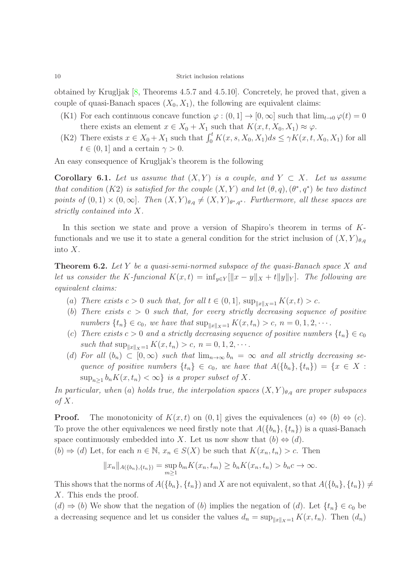obtained by Krugljak [\[8,](#page-11-8) Theorems 4.5.7 and 4.5.10]. Concretely, he proved that, given a couple of quasi-Banach spaces  $(X_0, X_1)$ , the following are equivalent claims:

- (K1) For each continuous concave function  $\varphi : (0, 1] \to [0, \infty]$  such that  $\lim_{t\to 0} \varphi(t) = 0$ there exists an element  $x \in X_0 + X_1$  such that  $K(x, t, X_0, X_1) \approx \varphi$ .
- (K2) There exists  $x \in X_0 + X_1$  such that  $\int_0^t K(x, s, X_0, X_1) ds \leq \gamma K(x, t, X_0, X_1)$  for all  $t \in (0, 1]$  and a certain  $\gamma > 0$ .

An easy consequence of Krugljak's theorem is the following

Corollary 6.1. Let us assume that  $(X, Y)$  is a couple, and  $Y \subset X$ . Let us assume *that condition*  $(K2)$  *is satisfied for the couple*  $(X, Y)$  *and let*  $(\theta, q), (\theta^*, q^*)$  *be two distinct points of*  $(0,1) \times (0,\infty]$ . Then  $(X,Y)_{\theta,q} \neq (X,Y)_{\theta^*,q^*}$ . Furthermore, all these spaces are *strictly contained into* X*.*

In this section we state and prove a version of Shapiro's theorem in terms of Kfunctionals and we use it to state a general condition for the strict inclusion of  $(X, Y)_{\theta, q}$ into X.

<span id="page-9-0"></span>Theorem 6.2. *Let* Y *be a quasi-semi-normed subspace of the quasi-Banach space* X *and let us consider the* K-funcional  $K(x,t) = \inf_{y \in Y} [||x-y||_X + t||y||_Y]$ . The following are *equivalent claims:*

- (a) *There exists*  $c > 0$  *such that, for all*  $t \in (0, 1]$ *,*  $\sup_{\|x\|_X=1} K(x, t) > c$ *.*
- (b) There exists  $c > 0$  such that, for every strictly decreasing sequence of positive *numbers*  $\{t_n\} \in c_0$ *, we have that*  $\sup_{\|x\|_X = 1} K(x, t_n) > c$ *, n* = 0, 1, 2, · · ·
- (c) There exists  $c > 0$  and a strictly decreasing sequence of positive numbers  $\{t_n\} \in c_0$ *such that*  $\sup_{\|x\|_{X}=1} K(x, t_n) > c, n = 0, 1, 2, \cdots$ *.*
- (d) For all  $(b_n) \subset [0,\infty)$  *such that*  $\lim_{n\to\infty} b_n = \infty$  *and all strictly decreasing sequence of positive numbers*  $\{t_n\} \in c_0$ , we have that  $A(\{b_n\}, \{t_n\}) = \{x \in X :$  $\sup_{n\geq 1} b_n K(x,t_n) < \infty$  *is a proper subset of* X.

*In particular, when* (a) *holds true, the interpolation spaces*  $(X, Y)_{\theta,q}$  *are proper subspaces of* X*.*

**Proof.** The monotonicity of  $K(x,t)$  on  $(0,1]$  gives the equivalences  $(a) \Leftrightarrow (b) \Leftrightarrow (c)$ . To prove the other equivalences we need firstly note that  $A({b_n}, {t_n})$  is a quasi-Banach space continuously embedded into X. Let us now show that  $(b) \Leftrightarrow (d)$ .

 $(b) \Rightarrow (d)$  Let, for each  $n \in \mathbb{N}$ ,  $x_n \in S(X)$  be such that  $K(x_n, t_n) > c$ . Then

$$
||x_n||_{A(\{b_n\},\{t_n\})} = \sup_{m\geq 1} b_m K(x_n,t_m) \geq b_n K(x_n,t_n) > b_n c \to \infty.
$$

This shows that the norms of  $A({b_n}, {t_n})$  and X are not equivalent, so that  $A({b_n}, {t_n}) \neq$ X. This ends the proof.

 $(d) \Rightarrow (b)$  We show that the negation of  $(b)$  implies the negation of  $(d)$ . Let  $\{t_n\} \in c_0$  be a decreasing sequence and let us consider the values  $d_n = \sup_{\|x\|_{X}=1} K(x, t_n)$ . Then  $(d_n)$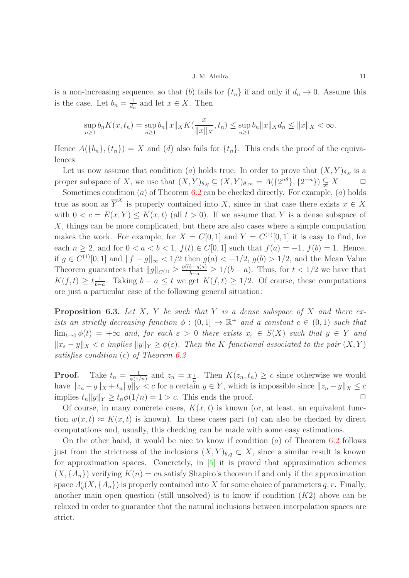is a non-increasing sequence, so that (b) fails for  $\{t_n\}$  if and only if  $d_n \to 0$ . Assume this is the case. Let  $b_n = \frac{1}{d_n}$  $\frac{1}{d_n}$  and let  $x \in X$ . Then

$$
\sup_{n\geq 1} b_n K(x,t_n) = \sup_{n\geq 1} b_n ||x||_X K(\frac{x}{||x||_X},t_n) \leq \sup_{n\geq 1} b_n ||x||_X d_n \leq ||x||_X < \infty.
$$

Hence  $A({b_n}, {t_n}) = X$  and (d) also fails for  ${t_n}$ . This ends the proof of the equivalences.

Let us now assume that condition (a) holds true. In order to prove that  $(X, Y)_{\theta,q}$  is a proper subspace of X, we use that  $(X, Y)_{\theta,q} \subseteq (X, Y)_{\theta,\infty} = A(\{2^{n\theta}\}, \{2^{-n}\}) \subsetneq X \qquad \square$ 

Sometimes condition  $(a)$  of Theorem [6.2](#page-9-0) can be checked directly. For example,  $(a)$  holds true as soon as  $\overline{Y}^X$  is properly contained into X, since in that case there exists  $x \in X$ with  $0 < c = E(x, Y) \le K(x, t)$  (all  $t > 0$ ). If we assume that Y is a dense subspace of X, things can be more complicated, but there are also cases where a simple computation makes the work. For example, for  $X = C[0, 1]$  and  $Y = C^{(1)}[0, 1]$  it is easy to find, for each  $n \ge 2$ , and for  $0 < a < b < 1$ ,  $f(t) \in C[0, 1]$  such that  $f(a) = -1$ ,  $f(b) = 1$ . Hence, if  $g \in C^{(1)}[0,1]$  and  $||f - g||_{\infty} < 1/2$  then  $g(a) < -1/2$ ,  $g(b) > 1/2$ , and the Mean Value Theorem guarantees that  $||g||_{C^{(1)}} \ge \frac{g(b)-g(a)}{b-a} \ge 1/(b-a)$ . Thus, for  $t < 1/2$  we have that  $K(f,t) \geq t\frac{1}{b-1}$  $\frac{1}{b-a}$ . Taking  $b-a \leq t$  we get  $K(f,t) \geq 1/2$ . Of course, these computations are just a particular case of the following general situation:

Proposition 6.3. *Let* X*,* Y *be such that* Y *is a dense subspace of* X *and there exists an strictly decreasing function*  $\phi : (0,1] \to \mathbb{R}^+$  *and a constant*  $c \in (0,1)$  *such that*  $\lim_{t\to 0} \phi(t) = +\infty$  *and, for each*  $\varepsilon > 0$  *there exists*  $x_{\varepsilon} \in S(X)$  *such that*  $y \in Y$  *and*  $||x_{\varepsilon} - y||_X < c$  *implies*  $||y||_Y \ge \phi(\varepsilon)$ *. Then the K-functional associated to the pair*  $(X, Y)$ *satisfies condition* (c) *of Theorem [6.2](#page-9-0)*

**Proof.** Take  $t_n = \frac{1}{\phi(1)}$  $\frac{1}{\phi(1/n)}$  and  $z_n = x_{\frac{1}{n}}$ . Then  $K(z_n, t_n) \geq c$  since otherwise we would have  $||z_n - y||_X + t_n||y||_Y < c$  for a certain  $y \in Y$ , which is impossible since  $||z_n - y||_X \leq c$ implies  $t_n||y||_Y \ge t_n\phi(1/n) = 1 > c$ . This ends the proof.  $\square$ 

Of course, in many concrete cases,  $K(x, t)$  is known (or, at least, an equivalent function  $w(x, t) \approx K(x, t)$  is known). In these cases part (a) can also be checked by direct computations and, usually, this checking can be made with some easy estimations.

On the other hand, it would be nice to know if condition  $(a)$  of Theorem [6.2](#page-9-0) follows just from the strictness of the inclusions  $(X, Y)_{\theta,q} \subset X$ , since a similar result is known for approximation spaces. Concretely, in [\[5\]](#page-11-7) it is proved that approximation schemes  $(X, \{A_n\})$  verifying  $K(n) = cn$  satisfy Shapiro's theorem if and only if the approximation space  $A_q^r(X, \{A_n\})$  is properly contained into X for some choice of parameters q, r. Finally, another main open question (still unsolved) is to know if condition  $(K2)$  above can be relaxed in order to guarantee that the natural inclusions between interpolation spaces are strict.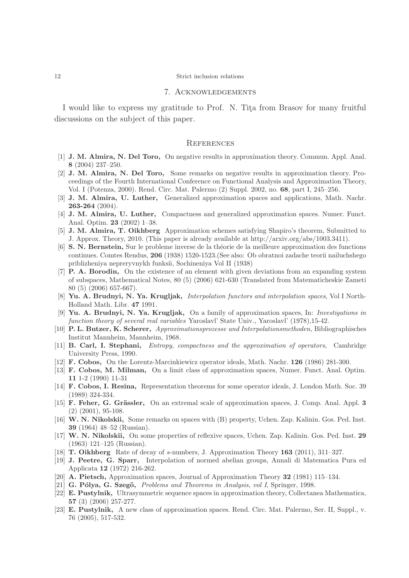## 7. Acknowledgements

I would like to express my gratitude to Prof. N. Tita from Brasov for many fruitful discussions on the subject of this paper.

#### **REFERENCES**

- <span id="page-11-13"></span>[1] J. M. Almira, N. Del Toro, On negative results in approximation theory. Commun. Appl. Anal. 8 (2004) 237–250.
- [2] J. M. Almira, N. Del Toro, Some remarks on negative results in approximation theory. Proceedings of the Fourth International Conference on Functional Analysis and Approximation Theory, Vol. I (Potenza, 2000). Rend. Circ. Mat. Palermo (2) Suppl. 2002, no. 68, part I, 245–256.
- <span id="page-11-3"></span>[3] J. M. Almira, U. Luther, Generalized approximation spaces and applications, Math. Nachr. 263-264 (2004).
- <span id="page-11-4"></span>[4] J. M. Almira, U. Luther, Compactness and generalized approximation spaces. Numer. Funct. Anal. Optim. 23 (2002) 1–38.
- <span id="page-11-7"></span>[5] J. M. Almira, T. Oikhberg Approximation schemes satisfying Shapiro's theorem, Submitted to J. Approx. Theory, 2010. (This paper is already available at http://arxiv.org/abs/1003.3411).
- [6] S. N. Bernstein, Sur le probleme inverse de la théorie de la meilleure approximation des functions continues. Comtes Rendus, 206 (1938) 1520-1523.(See also: Ob obratnoi zadache teorii nailuchshego priblizheniya nepreryvnykh funksii, Sochineniya Vol II (1938)
- <span id="page-11-10"></span>[7] P. A. Borodin, On the existence of an element with given deviations from an expanding system of subspaces, Mathematical Notes, 80 (5) (2006) 621-630 (Translated from Matematicheskie Zameti 80 (5) (2006) 657-667).
- <span id="page-11-8"></span><span id="page-11-1"></span>[8] Yu. A. Brudnyi, N. Ya. Krugljak, *Interpolation functors and interpolation spaces*, Vol I North-Holland Math. Libr. 47 1991.
- [9] Yu. A. Brudnyi, N. Ya. Krugljak, On a family of approximation spaces, In: Investigations in function theory of several real variables Yaroslavl' State Univ., Yaroslavl' (1978),15-42.
- <span id="page-11-0"></span>[10] P. L. Butzer, K. Scherer, Approximationsprozesse und Interpolationsmethoden, Bibliographisches Institut Mannheim, Mannheim, 1968.
- <span id="page-11-9"></span>[11] B. Carl, I. Stephani, Entropy, compactness and the approximation of operators, Cambridge University Press, 1990.
- [12] F. Cobos, On the Lorentz-Marcinkiewicz operator ideals, Math. Nachr. 126 (1986) 281-300.
- [13] F. Cobos, M. Milman, On a limit class of approximation spaces, Numer. Funct. Anal. Optim. 11 1-2 (1990) 11-31
- [14] F. Cobos, I. Resina, Representation theorems for some operator ideals, J. London Math. Soc. 39 (1989) 324-334.
- [15] **F. Feher, G. Grässler,** On an extremal scale of approximation spaces, J. Comp. Anal. Appl. 3 (2) (2001), 95-108.
- <span id="page-11-12"></span>[16] W. N. Nikolskii, Some remarks on spaces with (B) property, Uchen. Zap. Kalinin. Gos. Ped. Inst. 39 (1964) 48–52 (Russian).
- <span id="page-11-11"></span>[17] W. N. Nikolskii, On some properties of reflexive spaces, Uchen. Zap. Kalinin. Gos. Ped. Inst. 29 (1963) 121–125 (Russian).
- <span id="page-11-15"></span>[18] T. Oikhberg Rate of decay of s-numbers, J. Approximation Theory 163 (2011), 311–327.
- [19] J. Peetre, G. Sparr, Interpolation of normed abelian groups, Annali di Matematica Pura ed Applicata 12 (1972) 216-262.
- <span id="page-11-14"></span><span id="page-11-2"></span>[20] A. Pietsch, Approximation spaces, Journal of Approximation Theory 32 (1981) 115–134.
- <span id="page-11-5"></span>[21] G. Pólya, G. Szegö, Problems and Theorems in Analysis, vol I, Springer, 1998.
- [22] E. Pustylnik, Ultrasymmetric sequence spaces in approximation theory, Collectanea Mathematica, 57 (3) (2006) 257-277.
- <span id="page-11-6"></span>[23] E. Pustylnik, A new class of approximation spaces. Rend. Circ. Mat. Palermo, Ser. II, Suppl., v. 76 (2005), 517-532.